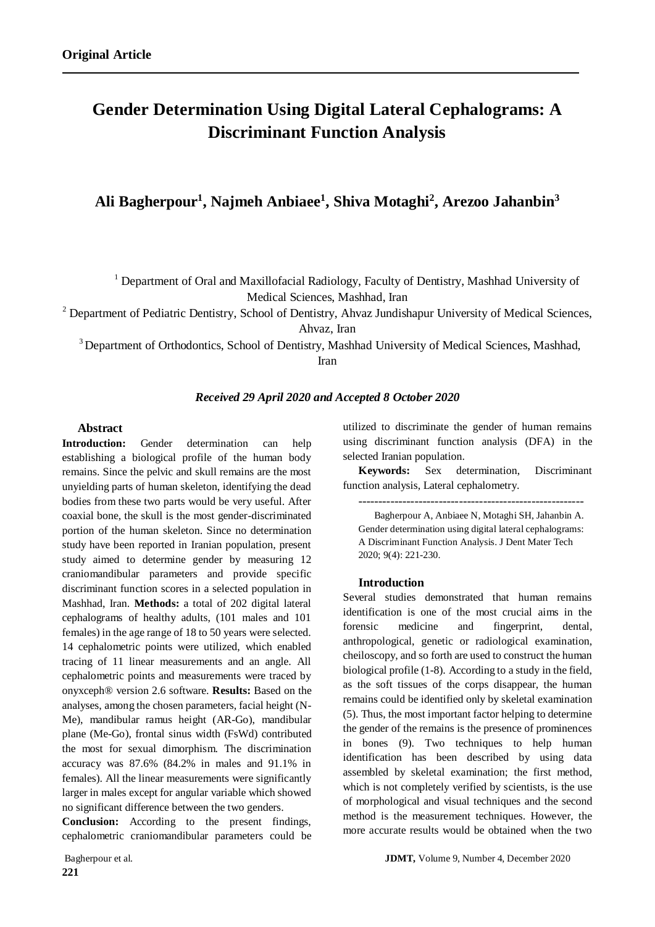# **Gender Determination Using Digital Lateral Cephalograms: A Discriminant Function Analysis**

# **Ali Bagherpour<sup>1</sup> , Najmeh Anbiaee<sup>1</sup> , Shiva Motaghi<sup>2</sup> , Arezoo Jahanbin<sup>3</sup>**

<sup>1</sup> Department of Oral and Maxillofacial Radiology, Faculty of Dentistry, Mashhad University of Medical Sciences, Mashhad, Iran

<sup>2</sup> Department of Pediatric Dentistry, School of Dentistry, Ahvaz Jundishapur University of Medical Sciences, Ahvaz, Iran

<sup>3</sup> Department of Orthodontics, School of Dentistry, Mashhad University of Medical Sciences, Mashhad,

Iran

#### *Received 29 April 2020 and Accepted 8 October 2020*

#### **Abstract**

Introduction: Gender determination can help establishing a biological profile of the human body remains. Since the pelvic and skull remains are the most unyielding parts of human skeleton, identifying the dead bodies from these two parts would be very useful. After coaxial bone, the skull is the most gender-discriminated portion of the human skeleton. Since no determination study have been reported in Iranian population, present study aimed to determine gender by measuring 12 craniomandibular parameters and provide specific discriminant function scores in a selected population in Mashhad, Iran. **Methods:** a total of 202 digital lateral cephalograms of healthy adults, (101 males and 101 females) in the age range of 18 to 50 years were selected. 14 cephalometric points were utilized, which enabled tracing of 11 linear measurements and an angle. All cephalometric points and measurements were traced by onyxceph® version 2.6 software. **Results:** Based on the analyses, among the chosen parameters, facial height (N-Me), mandibular ramus height (AR-Go), mandibular plane (Me-Go), frontal sinus width (FsWd) contributed the most for sexual dimorphism. The discrimination accuracy was 87.6% (84.2% in males and 91.1% in females). All the linear measurements were significantly larger in males except for angular variable which showed no significant difference between the two genders.

**Conclusion:** According to the present findings, cephalometric craniomandibular parameters could be

**221**

utilized to discriminate the gender of human remains using discriminant function analysis (DFA) in the selected Iranian population.

**Keywords:** Sex determination, Discriminant function analysis, Lateral cephalometry.

--------------------------------------------------------

Bagherpour A, Anbiaee N, Motaghi SH, Jahanbin A. Gender determination using digital lateral cephalograms: A Discriminant Function Analysis. J Dent Mater Tech 2020; 9(4): 221-230.

#### **Introduction**

Several studies demonstrated that human remains identification is one of the most crucial aims in the forensic medicine and fingerprint, dental, anthropological, genetic or radiological examination, cheiloscopy, and so forth are used to construct the human biological profile (1-8). According to a study in the field, as the soft tissues of the corps disappear, the human remains could be identified only by skeletal examination (5). Thus, the most important factor helping to determine the gender of the remains is the presence of prominences in bones (9). Two techniques to help human identification has been described by using data assembled by skeletal examination; the first method, which is not completely verified by scientists, is the use of morphological and visual techniques and the second method is the measurement techniques. However, the more accurate results would be obtained when the two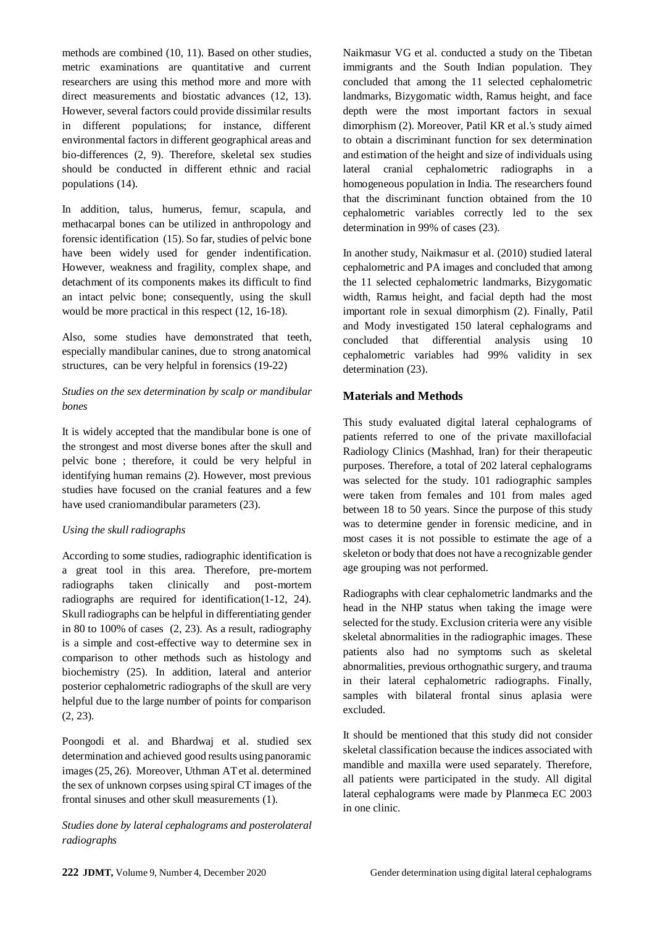methods are combined (10, 11). Based on other studies, metric examinations are quantitative and current researchers are using this method more and more with direct measurements and biostatic advances (12, 13). However, several factors could provide dissimilar results in different populations; for instance, different environmental factors in different geographical areas and bio-differences (2, 9). Therefore, skeletal sex studies should be conducted in different ethnic and racial populations (14).

In addition, talus, humerus, femur, scapula, and methacarpal bones can be utilized in anthropology and forensic identification (15). So far, studies of pelvic bone have been widely used for gender indentification. However, weakness and fragility, complex shape, and detachment of its components makes its difficult to find an intact pelvic bone; consequently, using the skull would be more practical in this respect (12, 16-18).

Also, some studies have demonstrated that teeth, especially mandibular canines, due to strong anatomical structures, can be very helpful in forensics (19-22)

### *Studies on the sex determination by scalp or mandibular bones*

It is widely accepted that the mandibular bone is one of the strongest and most diverse bones after the skull and pelvic bone ; therefore, it could be very helpful in identifying human remains (2). However, most previous studies have focused on the cranial features and a few have used craniomandibular parameters (23).

#### *Using the skull radiographs*

According to some studies, radiographic identification is a great tool in this area. Therefore, pre-mortem radiographs taken clinically and post-mortem radiographs are required for identification(1-12, 24). Skull radiographs can be helpful in differentiating gender in 80 to 100% of cases (2, 23). As a result, radiography is a simple and cost-effective way to determine sex in comparison to other methods such as histology and biochemistry (25). In addition, lateral and anterior posterior cephalometric radiographs of the skull are very helpful due to the large number of points for comparison (2, 23).

Poongodi et al. and Bhardwaj et al. studied sex determination and achieved good results using panoramic images (25, 26). Moreover, Uthman AT et al. determined the sex of unknown corpses using spiral CT images of the frontal sinuses and other skull measurements (1).

# *Studies done by lateral cephalograms and posterolateral radiographs*

Naikmasur VG et al. conducted a study on the Tibetan immigrants and the South Indian population. They concluded that among the 11 selected cephalometric landmarks, Bizygomatic width, Ramus height, and face depth were the most important factors in sexual dimorphism (2). Moreover, Patil KR et al.'s study aimed to obtain a discriminant function for sex determination and estimation of the height and size of individuals using lateral cranial cephalometric radiographs in a homogeneous population in India. The researchers found that the discriminant function obtained from the 10 cephalometric variables correctly led to the sex determination in 99% of cases (23).

In another study, Naikmasur et al. (2010) studied lateral cephalometric and PA images and concluded that among the 11 selected cephalometric landmarks, Bizygomatic width, Ramus height, and facial depth had the most important role in sexual dimorphism (2). Finally, Patil and Mody investigated 150 lateral cephalograms and concluded that differential analysis using 10 cephalometric variables had 99% validity in sex determination  $(23)$ .

#### **Materials and Methods**

This study evaluated digital lateral cephalograms of patients referred to one of the private maxillofacial Radiology Clinics (Mashhad, Iran) for their therapeutic purposes. Therefore, a total of 202 lateral cephalograms was selected for the study. 101 radiographic samples were taken from females and 101 from males aged between 18 to 50 years. Since the purpose of this study was to determine gender in forensic medicine, and in most cases it is not possible to estimate the age of a skeleton or body that does not have a recognizable gender age grouping was not performed.

Radiographs with clear cephalometric landmarks and the head in the NHP status when taking the image were selected for the study. Exclusion criteria were any visible skeletal abnormalities in the radiographic images. These patients also had no symptoms such as skeletal abnormalities, previous orthognathic surgery, and trauma in their lateral cephalometric radiographs. Finally, samples with bilateral frontal sinus aplasia were excluded.

It should be mentioned that this study did not consider skeletal classification because the indices associated with mandible and maxilla were used separately. Therefore, all patients were participated in the study. All digital lateral cephalograms were made by Planmeca EC 2003 in one clinic.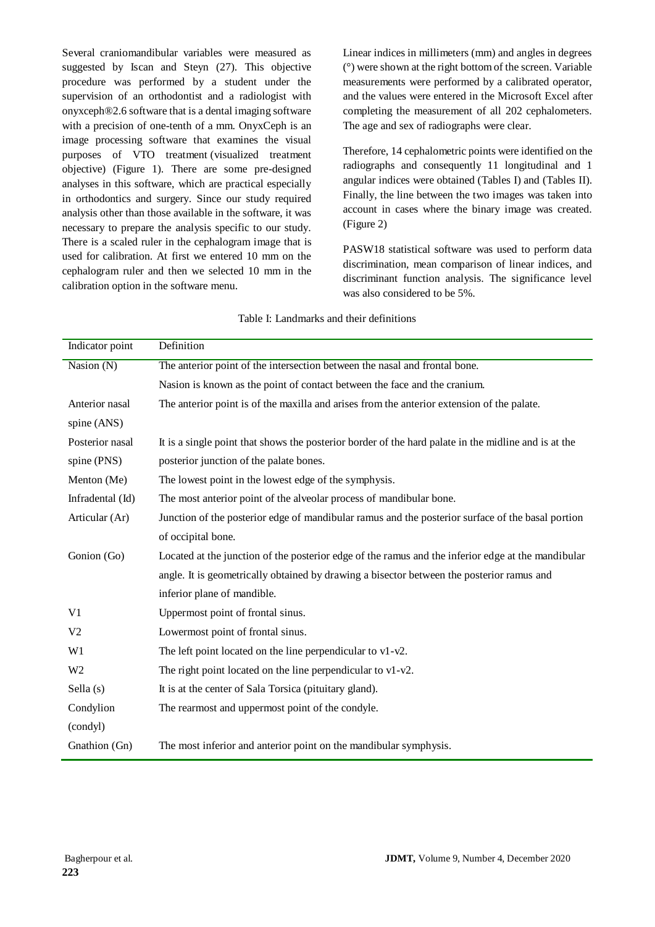Several craniomandibular variables were measured as suggested by Iscan and Steyn (27). This objective procedure was performed by a student under the supervision of an orthodontist and a radiologist with onyxceph®2.6 software that is a dental imaging software with a precision of one-tenth of a mm. OnyxCeph is an image processing software that examines the visual purposes of VTO treatment (visualized treatment objective) (Figure 1). There are some pre-designed analyses in this software, which are practical especially in orthodontics and surgery. Since our study required analysis other than those available in the software, it was necessary to prepare the analysis specific to our study. There is a scaled ruler in the cephalogram image that is used for calibration. At first we entered 10 mm on the cephalogram ruler and then we selected 10 mm in the calibration option in the software menu.

Linear indices in millimeters (mm) and angles in degrees (°) were shown at the right bottom of the screen. Variable measurements were performed by a calibrated operator, and the values were entered in the Microsoft Excel after completing the measurement of all 202 cephalometers. The age and sex of radiographs were clear.

Therefore, 14 cephalometric points were identified on the radiographs and consequently 11 longitudinal and 1 angular indices were obtained (Tables I) and (Tables II). Finally, the line between the two images was taken into account in cases where the binary image was created. (Figure 2)

PASW18 statistical software was used to perform data discrimination, mean comparison of linear indices, and discriminant function analysis. The significance level was also considered to be 5%.

| Indicator point  | Definition                                                                                           |  |  |  |  |
|------------------|------------------------------------------------------------------------------------------------------|--|--|--|--|
| Nasion (N)       | The anterior point of the intersection between the nasal and frontal bone.                           |  |  |  |  |
|                  | Nasion is known as the point of contact between the face and the cranium.                            |  |  |  |  |
| Anterior nasal   | The anterior point is of the maxilla and arises from the anterior extension of the palate.           |  |  |  |  |
| spine (ANS)      |                                                                                                      |  |  |  |  |
| Posterior nasal  | It is a single point that shows the posterior border of the hard palate in the midline and is at the |  |  |  |  |
| spine (PNS)      | posterior junction of the palate bones.                                                              |  |  |  |  |
| Menton (Me)      | The lowest point in the lowest edge of the symphysis.                                                |  |  |  |  |
| Infradental (Id) | The most anterior point of the alveolar process of mandibular bone.                                  |  |  |  |  |
| Articular (Ar)   | Junction of the posterior edge of mandibular ramus and the posterior surface of the basal portion    |  |  |  |  |
|                  | of occipital bone.                                                                                   |  |  |  |  |
| Gonion (Go)      | Located at the junction of the posterior edge of the ramus and the inferior edge at the mandibular   |  |  |  |  |
|                  | angle. It is geometrically obtained by drawing a bisector between the posterior ramus and            |  |  |  |  |
|                  | inferior plane of mandible.                                                                          |  |  |  |  |
| V <sub>1</sub>   | Uppermost point of frontal sinus.                                                                    |  |  |  |  |
| V <sub>2</sub>   | Lowermost point of frontal sinus.                                                                    |  |  |  |  |
| W1               | The left point located on the line perpendicular to $v1-v2$ .                                        |  |  |  |  |
| W <sub>2</sub>   | The right point located on the line perpendicular to $v1-v2$ .                                       |  |  |  |  |
| Sella (s)        | It is at the center of Sala Torsica (pituitary gland).                                               |  |  |  |  |
| Condylion        | The rearmost and uppermost point of the condyle.                                                     |  |  |  |  |
| (condyl)         |                                                                                                      |  |  |  |  |
| Gnathion (Gn)    | The most inferior and anterior point on the mandibular symphysis.                                    |  |  |  |  |

Table I: Landmarks and their definitions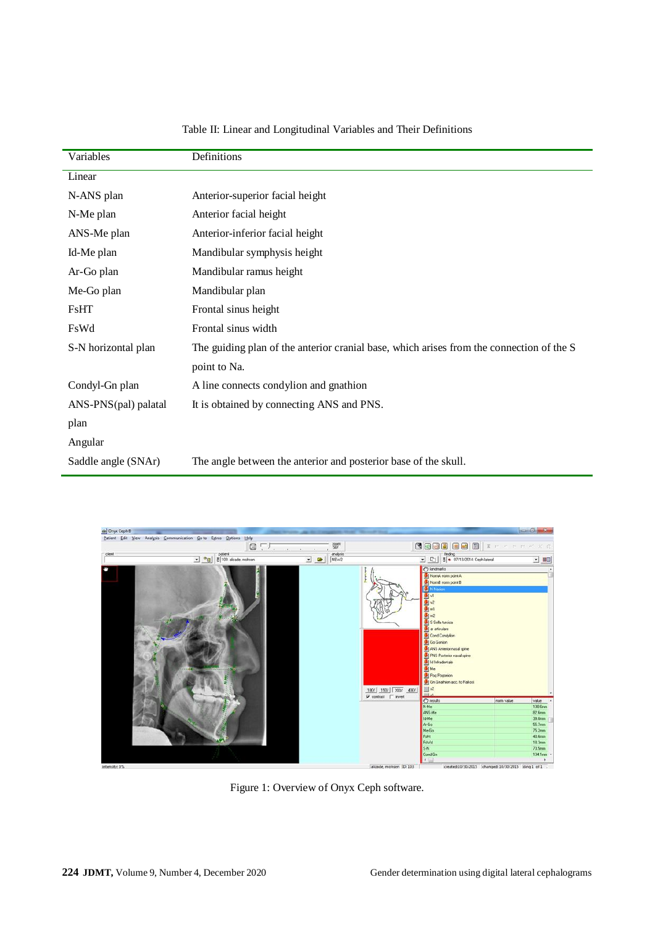| Variables            | Definitions                                                                              |
|----------------------|------------------------------------------------------------------------------------------|
| Linear               |                                                                                          |
| N-ANS plan           | Anterior-superior facial height                                                          |
| N-Me plan            | Anterior facial height                                                                   |
| ANS-Me plan          | Anterior-inferior facial height                                                          |
| Id-Me plan           | Mandibular symphysis height                                                              |
| Ar-Go plan           | Mandibular ramus height                                                                  |
| Me-Go plan           | Mandibular plan                                                                          |
| FsHT                 | Frontal sinus height                                                                     |
| FsWd                 | Frontal sinus width                                                                      |
| S-N horizontal plan  | The guiding plan of the anterior cranial base, which arises from the connection of the S |
|                      | point to Na.                                                                             |
| Condyl-Gn plan       | A line connects condylion and gnathion                                                   |
| ANS-PNS(pal) palatal | It is obtained by connecting ANS and PNS.                                                |
| plan                 |                                                                                          |
| Angular              |                                                                                          |
| Saddle angle (SNAr)  | The angle between the anterior and posterior base of the skull.                          |

# Table II: Linear and Longitudinal Variables and Their Definitions



Figure 1: Overview of Onyx Ceph software.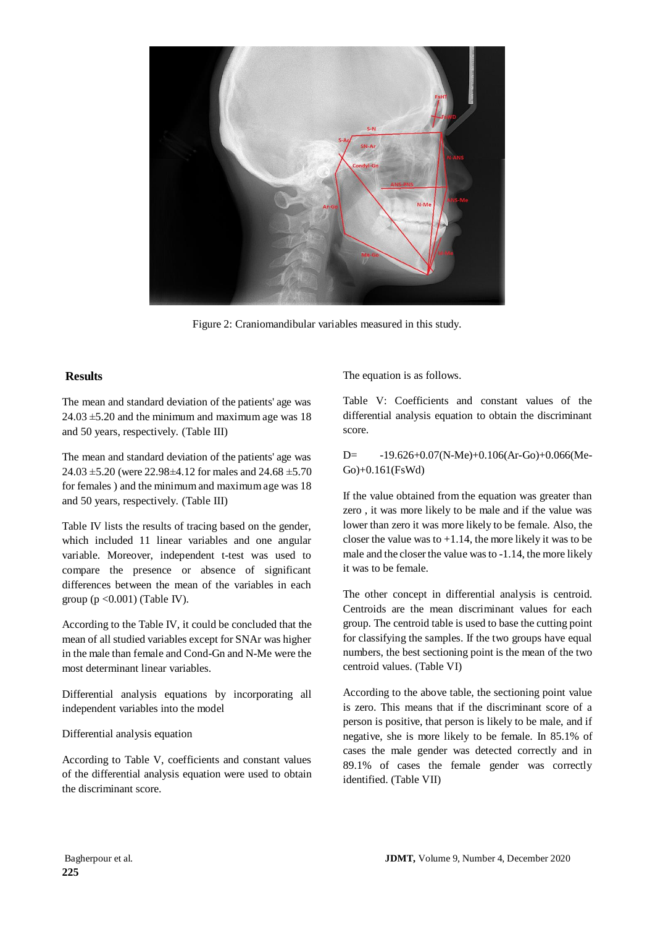

Figure 2: Craniomandibular variables measured in this study.

#### **Results**

The mean and standard deviation of the patients' age was  $24.03 \pm 5.20$  and the minimum and maximum age was 18 and 50 years, respectively. (Table III)

The mean and standard deviation of the patients' age was  $24.03 \pm 5.20$  (were 22.98 $\pm 4.12$  for males and 24.68  $\pm 5.70$ for females ) and the minimum and maximum age was 18 and 50 years, respectively. (Table III)

Table IV lists the results of tracing based on the gender, which included 11 linear variables and one angular variable. Moreover, independent t-test was used to compare the presence or absence of significant differences between the mean of the variables in each group  $(p \le 0.001)$  (Table IV).

According to the Table IV, it could be concluded that the mean of all studied variables except for SNAr was higher in the male than female and Cond-Gn and N-Me were the most determinant linear variables.

Differential analysis equations by incorporating all independent variables into the model

#### Differential analysis equation

According to Table V, coefficients and constant values of the differential analysis equation were used to obtain the discriminant score.

The equation is as follows.

Table V: Coefficients and constant values of the differential analysis equation to obtain the discriminant score.

D= -19.626+0.07(N-Me)+0.106(Ar-Go)+0.066(Me-Go)+0.161(FsWd)

If the value obtained from the equation was greater than zero , it was more likely to be male and if the value was lower than zero it was more likely to be female. Also, the closer the value was to  $+1.14$ , the more likely it was to be male and the closer the value was to -1.14, the more likely it was to be female.

The other concept in differential analysis is centroid. Centroids are the mean discriminant values for each group. The centroid table is used to base the cutting point for classifying the samples. If the two groups have equal numbers, the best sectioning point is the mean of the two centroid values. (Table VI)

According to the above table, the sectioning point value is zero. This means that if the discriminant score of a person is positive, that person is likely to be male, and if negative, she is more likely to be female. In 85.1% of cases the male gender was detected correctly and in 89.1% of cases the female gender was correctly identified. (Table VII)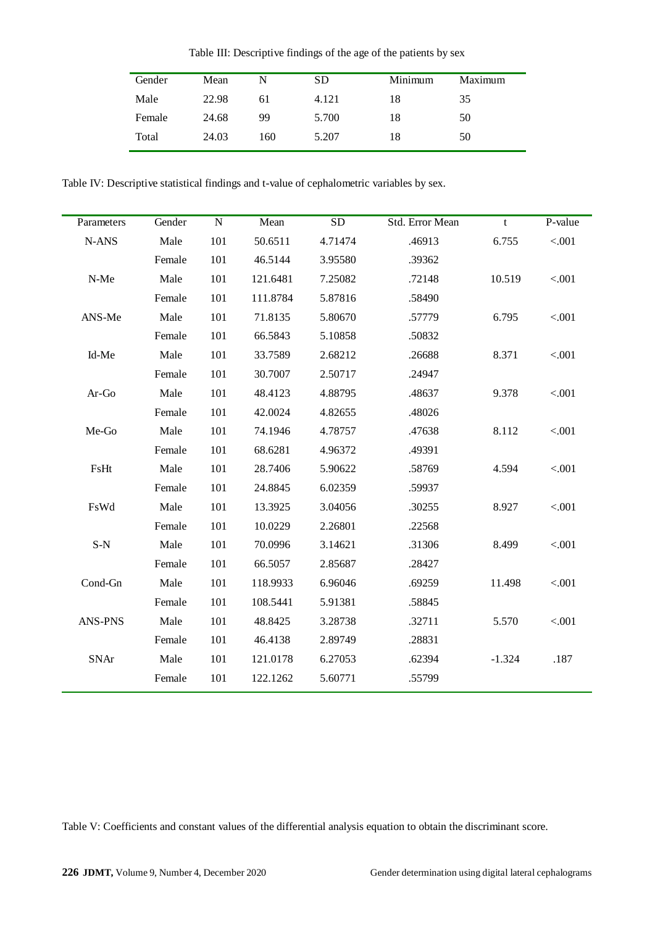Table III: Descriptive findings of the age of the patients by sex

| Gender | Mean  | N   | <b>SD</b> | Minimum | Maximum |
|--------|-------|-----|-----------|---------|---------|
| Male   | 22.98 | 61  | 4.121     | 18      | 35      |
| Female | 24.68 | 99  | 5.700     | 18      | 50      |
| Total  | 24.03 | 160 | 5.207     | 18      | 50      |

Table IV: Descriptive statistical findings and t-value of cephalometric variables by sex.

| Parameters     | Gender | ${\bf N}$ | Mean     | <b>SD</b> | Std. Error Mean | t        | P-value |
|----------------|--------|-----------|----------|-----------|-----------------|----------|---------|
| N-ANS          | Male   | 101       | 50.6511  | 4.71474   | .46913          | 6.755    | < .001  |
|                | Female | 101       | 46.5144  | 3.95580   | .39362          |          |         |
| N-Me           | Male   | 101       | 121.6481 | 7.25082   | .72148          | 10.519   | < .001  |
|                | Female | 101       | 111.8784 | 5.87816   | .58490          |          |         |
| ANS-Me         | Male   | 101       | 71.8135  | 5.80670   | .57779          | 6.795    | < .001  |
|                | Female | 101       | 66.5843  | 5.10858   | .50832          |          |         |
| Id-Me          | Male   | 101       | 33.7589  | 2.68212   | .26688          | 8.371    | < .001  |
|                | Female | 101       | 30.7007  | 2.50717   | .24947          |          |         |
| $Ar-Go$        | Male   | 101       | 48.4123  | 4.88795   | .48637          | 9.378    | < .001  |
|                | Female | 101       | 42.0024  | 4.82655   | .48026          |          |         |
| Me-Go          | Male   | 101       | 74.1946  | 4.78757   | .47638          | 8.112    | < .001  |
|                | Female | 101       | 68.6281  | 4.96372   | .49391          |          |         |
| FsHt           | Male   | 101       | 28.7406  | 5.90622   | .58769          | 4.594    | < .001  |
|                | Female | 101       | 24.8845  | 6.02359   | .59937          |          |         |
| FsWd           | Male   | 101       | 13.3925  | 3.04056   | .30255          | 8.927    | < .001  |
|                | Female | 101       | 10.0229  | 2.26801   | .22568          |          |         |
| $S-N$          | Male   | 101       | 70.0996  | 3.14621   | .31306          | 8.499    | < .001  |
|                | Female | 101       | 66.5057  | 2.85687   | .28427          |          |         |
| Cond-Gn        | Male   | 101       | 118.9933 | 6.96046   | .69259          | 11.498   | < .001  |
|                | Female | 101       | 108.5441 | 5.91381   | .58845          |          |         |
| <b>ANS-PNS</b> | Male   | 101       | 48.8425  | 3.28738   | .32711          | 5.570    | < .001  |
|                | Female | 101       | 46.4138  | 2.89749   | .28831          |          |         |
| <b>SNAr</b>    | Male   | 101       | 121.0178 | 6.27053   | .62394          | $-1.324$ | .187    |
|                | Female | 101       | 122.1262 | 5.60771   | .55799          |          |         |

Table V: Coefficients and constant values of the differential analysis equation to obtain the discriminant score.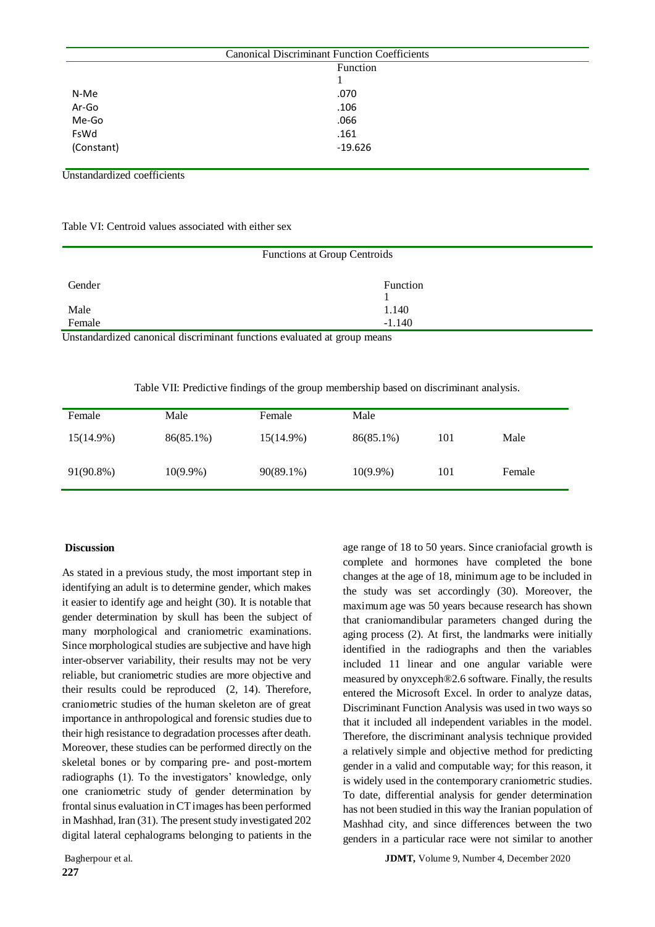| <b>Canonical Discriminant Function Coefficients</b> |           |  |  |  |  |  |
|-----------------------------------------------------|-----------|--|--|--|--|--|
| Function                                            |           |  |  |  |  |  |
|                                                     |           |  |  |  |  |  |
| N-Me                                                | .070      |  |  |  |  |  |
| Ar-Go                                               | .106      |  |  |  |  |  |
| Me-Go                                               | .066      |  |  |  |  |  |
| FsWd                                                | .161      |  |  |  |  |  |
| (Constant)                                          | $-19.626$ |  |  |  |  |  |
|                                                     |           |  |  |  |  |  |

Unstandardized coefficients

Table VI: Centroid values associated with either sex

| Functions at Group Centroids                                             |                 |  |  |  |  |
|--------------------------------------------------------------------------|-----------------|--|--|--|--|
| Gender                                                                   | <b>Function</b> |  |  |  |  |
|                                                                          |                 |  |  |  |  |
| Male                                                                     | 1.140           |  |  |  |  |
| Female                                                                   | $-1.140$        |  |  |  |  |
| Instandardized cononical discriminant functions evaluated at group means |                 |  |  |  |  |

Unstandardized canonical discriminant functions evaluated at group means

Table VII: Predictive findings of the group membership based on discriminant analysis.

| Female    | Male        | Female    | Male        |     |        |
|-----------|-------------|-----------|-------------|-----|--------|
| 15(14.9%) | 86(85.1%)   | 15(14.9%) | 86(85.1%)   | 101 | Male   |
| 91(90.8%) | $10(9.9\%)$ | 90(89.1%) | $10(9.9\%)$ | 101 | Female |

#### **Discussion**

As stated in a previous study, the most important step in identifying an adult is to determine gender, which makes it easier to identify age and height (30). It is notable that gender determination by skull has been the subject of many morphological and craniometric examinations. Since morphological studies are subjective and have high inter-observer variability, their results may not be very reliable, but craniometric studies are more objective and their results could be reproduced (2, 14). Therefore, craniometric studies of the human skeleton are of great importance in anthropological and forensic studies due to their high resistance to degradation processes after death. Moreover, these studies can be performed directly on the skeletal bones or by comparing pre- and post-mortem radiographs (1). To the investigators' knowledge, only one craniometric study of gender determination by frontal sinus evaluation in CT images has been performed in Mashhad, Iran (31). The present study investigated 202 digital lateral cephalograms belonging to patients in the

age range of 18 to 50 years. Since craniofacial growth is complete and hormones have completed the bone changes at the age of 18, minimum age to be included in the study was set accordingly (30). Moreover, the maximum age was 50 years because research has shown that craniomandibular parameters changed during the aging process (2). At first, the landmarks were initially identified in the radiographs and then the variables included 11 linear and one angular variable were measured by onyxceph®2.6 software. Finally, the results entered the Microsoft Excel. In order to analyze datas, Discriminant Function Analysis was used in two ways so that it included all independent variables in the model. Therefore, the discriminant analysis technique provided a relatively simple and objective method for predicting gender in a valid and computable way; for this reason, it is widely used in the contemporary craniometric studies. To date, differential analysis for gender determination has not been studied in this way the Iranian population of Mashhad city, and since differences between the two genders in a particular race were not similar to another

Bagherpour et al. **JDMT,** Volume 9, Number 4, December 2020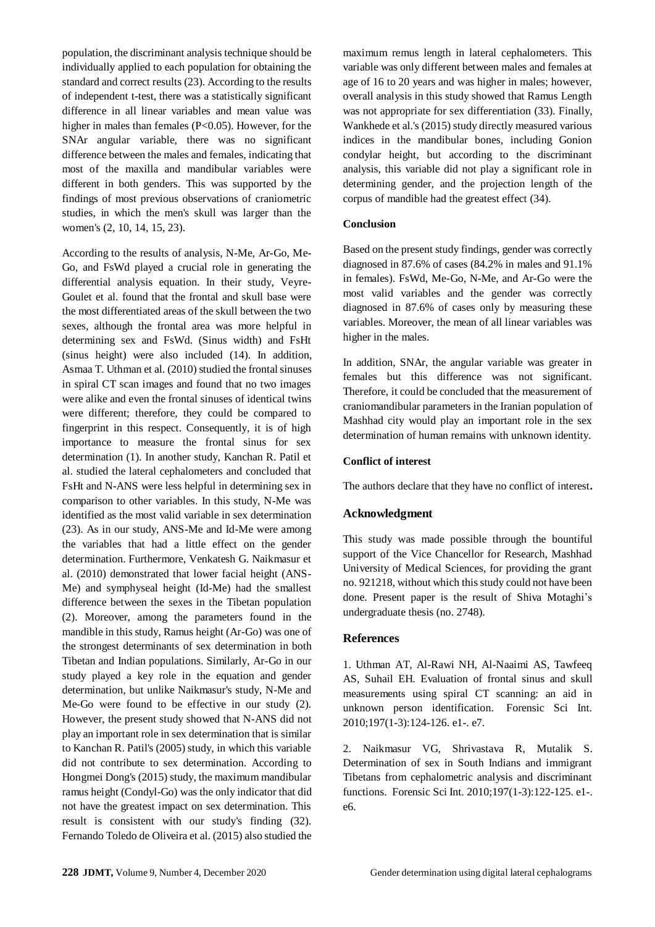population, the discriminant analysis technique should be individually applied to each population for obtaining the standard and correct results (23). According to the results of independent t-test, there was a statistically significant difference in all linear variables and mean value was higher in males than females (P<0.05). However, for the SNAr angular variable, there was no significant difference between the males and females, indicating that most of the maxilla and mandibular variables were different in both genders. This was supported by the findings of most previous observations of craniometric studies, in which the men's skull was larger than the women's (2, 10, 14, 15, 23).

According to the results of analysis, N-Me, Ar-Go, Me-Go, and FsWd played a crucial role in generating the differential analysis equation. In their study, Veyre-Goulet et al. found that the frontal and skull base were the most differentiated areas of the skull between the two sexes, although the frontal area was more helpful in determining sex and FsWd. (Sinus width) and FsHt (sinus height) were also included (14). In addition, Asmaa T. Uthman et al. (2010) studied the frontal sinuses in spiral CT scan images and found that no two images were alike and even the frontal sinuses of identical twins were different; therefore, they could be compared to fingerprint in this respect. Consequently, it is of high importance to measure the frontal sinus for sex determination (1). In another study, Kanchan R. Patil et al. studied the lateral cephalometers and concluded that FsHt and N-ANS were less helpful in determining sex in comparison to other variables. In this study, N-Me was identified as the most valid variable in sex determination (23). As in our study, ANS-Me and Id-Me were among the variables that had a little effect on the gender determination. Furthermore, Venkatesh G. Naikmasur et al. (2010) demonstrated that lower facial height (ANS-Me) and symphyseal height (Id-Me) had the smallest difference between the sexes in the Tibetan population (2). Moreover, among the parameters found in the mandible in this study, Ramus height (Ar-Go) was one of the strongest determinants of sex determination in both Tibetan and Indian populations. Similarly, Ar-Go in our study played a key role in the equation and gender determination, but unlike Naikmasur's study, N-Me and Me-Go were found to be effective in our study (2). However, the present study showed that N-ANS did not play an important role in sex determination that is similar to Kanchan R. Patil's (2005) study, in which this variable did not contribute to sex determination. According to Hongmei Dong's (2015) study, the maximum mandibular ramus height (Condyl-Go) was the only indicator that did not have the greatest impact on sex determination. This result is consistent with our study's finding (32). Fernando Toledo de Oliveira et al. (2015) also studied the

University of Medical Sciences, for providing the grant no. 921218, without which this study could not have been done. Present paper is the result of Shiva Motaghi's undergraduate thesis (no. 2748).

**Conclusion**

higher in the males.

**Conflict of interest** 

**Acknowledgment**

#### **References**

1. Uthman AT, Al-Rawi NH, Al-Naaimi AS, Tawfeeq AS, Suhail EH. Evaluation of frontal sinus and skull measurements using spiral CT scanning: an aid in unknown person identification. Forensic Sci Int. 2010;197(1-3):124-126. e1-. e7.

maximum remus length in lateral cephalometers. This variable was only different between males and females at age of 16 to 20 years and was higher in males; however, overall analysis in this study showed that Ramus Length was not appropriate for sex differentiation (33). Finally, Wankhede et al.'s (2015) study directly measured various indices in the mandibular bones, including Gonion condylar height, but according to the discriminant analysis, this variable did not play a significant role in determining gender, and the projection length of the

corpus of mandible had the greatest effect (34).

Based on the present study findings, gender was correctly diagnosed in 87.6% of cases (84.2% in males and 91.1% in females). FsWd, Me-Go, N-Me, and Ar-Go were the most valid variables and the gender was correctly diagnosed in 87.6% of cases only by measuring these variables. Moreover, the mean of all linear variables was

In addition, SNAr, the angular variable was greater in females but this difference was not significant. Therefore, it could be concluded that the measurement of craniomandibular parameters in the Iranian population of Mashhad city would play an important role in the sex determination of human remains with unknown identity.

The authors declare that they have no conflict of interest**.**

This study was made possible through the bountiful support of the Vice Chancellor for Research, Mashhad

2. Naikmasur VG, Shrivastava R, Mutalik S. Determination of sex in South Indians and immigrant Tibetans from cephalometric analysis and discriminant functions. Forensic Sci Int. 2010;197(1-3):122-125. e1-. e6.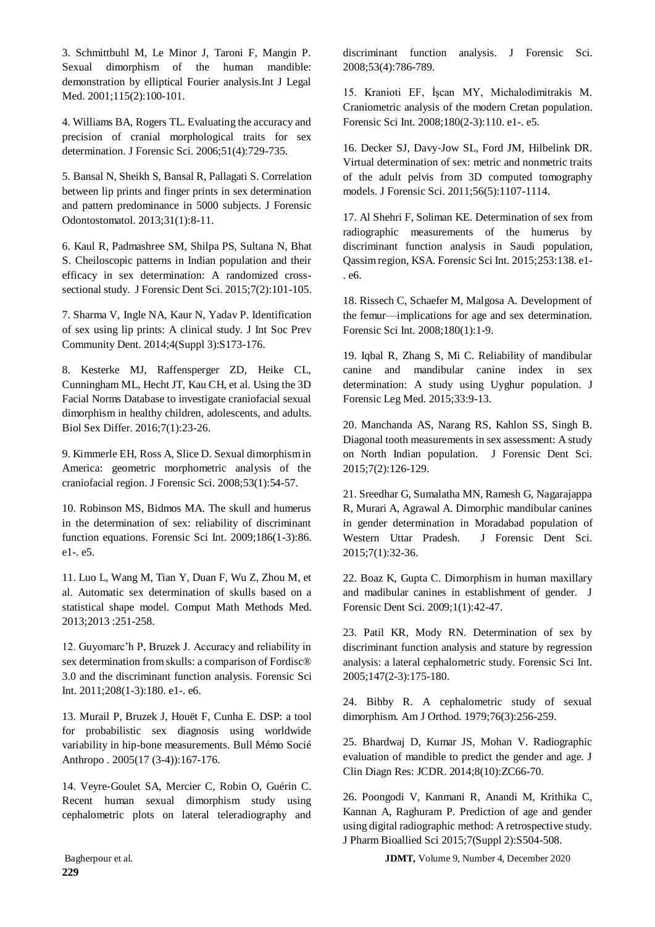3. Schmittbuhl M, Le Minor J, Taroni F, Mangin P. Sexual dimorphism of the human mandible: demonstration by elliptical Fourier analysis.Int J Legal Med. 2001;115(2):100-101.

4. Williams BA, Rogers TL. Evaluating the accuracy and precision of cranial morphological traits for sex determination. J Forensic Sci. 2006;51(4):729-735.

5. Bansal N, Sheikh S, Bansal R, Pallagati S. Correlation between lip prints and finger prints in sex determination and pattern predominance in 5000 subjects. J Forensic Odontostomatol. 2013;31(1):8-11.

6. Kaul R, Padmashree SM, Shilpa PS, Sultana N, Bhat S. Cheiloscopic patterns in Indian population and their efficacy in sex determination: A randomized crosssectional study. J Forensic Dent Sci. 2015;7(2):101-105.

7. Sharma V, Ingle NA, Kaur N, Yadav P. Identification of sex using lip prints: A clinical study. J Int Soc Prev Community Dent. 2014;4(Suppl 3):S173-176.

8. Kesterke MJ, Raffensperger ZD, Heike CL, Cunningham ML, Hecht JT, Kau CH, et al. Using the 3D Facial Norms Database to investigate craniofacial sexual dimorphism in healthy children, adolescents, and adults. Biol Sex Differ. 2016;7(1):23-26.

9. Kimmerle EH, Ross A, Slice D. Sexual dimorphism in America: geometric morphometric analysis of the craniofacial region. J Forensic Sci. 2008;53(1):54-57.

10. Robinson MS, Bidmos MA. The skull and humerus in the determination of sex: reliability of discriminant function equations. Forensic Sci Int. 2009;186(1-3):86. e1-. e5.

11. Luo L, Wang M, Tian Y, Duan F, Wu Z, Zhou M, et al. Automatic sex determination of skulls based on a statistical shape model. Comput Math Methods Med. 2013;2013 :251-258.

12. Guyomarc'h P, Bruzek J. Accuracy and reliability in sex determination from skulls: a comparison of Fordisc® 3.0 and the discriminant function analysis. Forensic Sci Int. 2011;208(1-3):180. e1-. e6.

13. Murail P, Bruzek J, Houët F, Cunha E. DSP: a tool for probabilistic sex diagnosis using worldwide variability in hip-bone measurements. Bull Mémo Socié Anthropo . 2005(17 (3-4)):167-176.

14. Veyre‐Goulet SA, Mercier C, Robin O, Guérin C. Recent human sexual dimorphism study using cephalometric plots on lateral teleradiography and

discriminant function analysis. J Forensic Sci. 2008;53(4):786-789.

15. Kranioti EF, İşcan MY, Michalodimitrakis M. Craniometric analysis of the modern Cretan population. Forensic Sci Int. 2008;180(2-3):110. e1-. e5.

16. Decker SJ, Davy‐Jow SL, Ford JM, Hilbelink DR. Virtual determination of sex: metric and nonmetric traits of the adult pelvis from 3D computed tomography models. J Forensic Sci. 2011;56(5):1107-1114.

17. Al Shehri F, Soliman KE. Determination of sex from radiographic measurements of the humerus by discriminant function analysis in Saudi population, Qassim region, KSA. Forensic Sci Int. 2015;253:138. e1- . e6.

18. Rissech C, Schaefer M, Malgosa A. Development of the femur—implications for age and sex determination. Forensic Sci Int. 2008;180(1):1-9.

19. Iqbal R, Zhang S, Mi C. Reliability of mandibular canine and mandibular canine index in sex determination: A study using Uyghur population. J Forensic Leg Med. 2015;33:9-13.

20. Manchanda AS, Narang RS, Kahlon SS, Singh B. Diagonal tooth measurements in sex assessment: A study on North Indian population. J Forensic Dent Sci. 2015;7(2):126-129.

21. Sreedhar G, Sumalatha MN, Ramesh G, Nagarajappa R, Murari A, Agrawal A. Dimorphic mandibular canines in gender determination in Moradabad population of Western Uttar Pradesh. J Forensic Dent Sci. 2015;7(1):32-36.

22. Boaz K, Gupta C. Dimorphism in human maxillary and madibular canines in establishment of gender. J Forensic Dent Sci. 2009;1(1):42-47.

23. Patil KR, Mody RN. Determination of sex by discriminant function analysis and stature by regression analysis: a lateral cephalometric study. Forensic Sci Int. 2005;147(2-3):175-180.

24. Bibby R. A cephalometric study of sexual dimorphism. Am J Orthod. 1979;76(3):256-259.

25. Bhardwaj D, Kumar JS, Mohan V. Radiographic evaluation of mandible to predict the gender and age. J Clin Diagn Res: JCDR. 2014;8(10):ZC66-70.

26. Poongodi V, Kanmani R, Anandi M, Krithika C, Kannan A, Raghuram P. Prediction of age and gender using digital radiographic method: A retrospective study. J Pharm Bioallied Sci 2015;7(Suppl 2):S504-508.

Bagherpour et al. **JDMT,** Volume 9, Number 4, December 2020